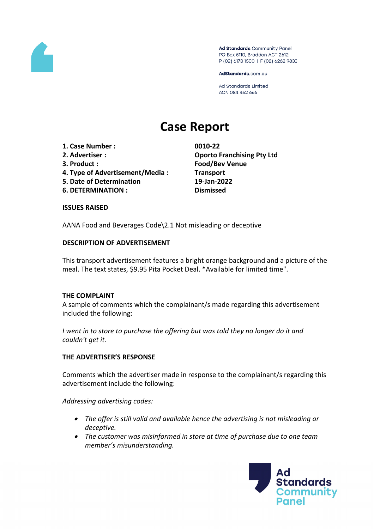

Ad Standards Community Panel PO Box 5110, Braddon ACT 2612 P (02) 6173 1500 | F (02) 6262 9833

AdStandards.com.au

Ad Standards Limited ACN 084 452 666

# **Case Report**

- **1. Case Number : 0010-22**
- 
- 
- **4. Type of Advertisement/Media : Transport**
- **5. Date of Determination 19-Jan-2022**
- **6. DETERMINATION : Dismissed**

**2. Advertiser : Oporto Franchising Pty Ltd 3. Product : Food/Bev Venue**

### **ISSUES RAISED**

AANA Food and Beverages Code\2.1 Not misleading or deceptive

## **DESCRIPTION OF ADVERTISEMENT**

This transport advertisement features a bright orange background and a picture of the meal. The text states, \$9.95 Pita Pocket Deal. \*Available for limited time".

### **THE COMPLAINT**

A sample of comments which the complainant/s made regarding this advertisement included the following:

*I went in to store to purchase the offering but was told they no longer do it and couldn't get it.*

### **THE ADVERTISER'S RESPONSE**

Comments which the advertiser made in response to the complainant/s regarding this advertisement include the following:

*Addressing advertising codes:*

- *The offer is still valid and available hence the advertising is not misleading or deceptive.*
- *The customer was misinformed in store at time of purchase due to one team member's misunderstanding.*

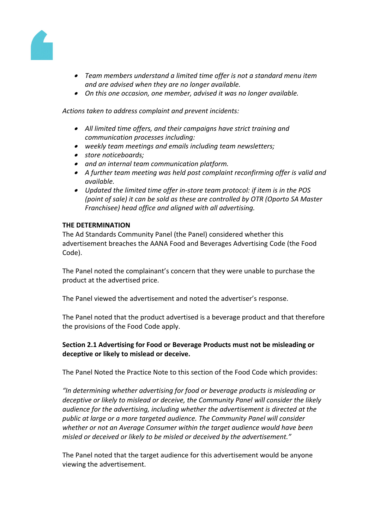

- *Team members understand a limited time offer is not a standard menu item and are advised when they are no longer available.*
- *On this one occasion, one member, advised it was no longer available.*

*Actions taken to address complaint and prevent incidents:*

- *All limited time offers, and their campaigns have strict training and communication processes including:*
- *weekly team meetings and emails including team newsletters;*
- *store noticeboards;*
- *and an internal team communication platform.*
- *A further team meeting was held post complaint reconfirming offer is valid and available.*
- *Updated the limited time offer in-store team protocol: if item is in the POS (point of sale) it can be sold as these are controlled by OTR (Oporto SA Master Franchisee) head office and aligned with all advertising.*

### **THE DETERMINATION**

The Ad Standards Community Panel (the Panel) considered whether this advertisement breaches the AANA Food and Beverages Advertising Code (the Food Code).

The Panel noted the complainant's concern that they were unable to purchase the product at the advertised price.

The Panel viewed the advertisement and noted the advertiser's response.

The Panel noted that the product advertised is a beverage product and that therefore the provisions of the Food Code apply.

# **Section 2.1 Advertising for Food or Beverage Products must not be misleading or deceptive or likely to mislead or deceive.**

The Panel Noted the Practice Note to this section of the Food Code which provides:

*"In determining whether advertising for food or beverage products is misleading or deceptive or likely to mislead or deceive, the Community Panel will consider the likely audience for the advertising, including whether the advertisement is directed at the public at large or a more targeted audience. The Community Panel will consider whether or not an Average Consumer within the target audience would have been misled or deceived or likely to be misled or deceived by the advertisement."*

The Panel noted that the target audience for this advertisement would be anyone viewing the advertisement.